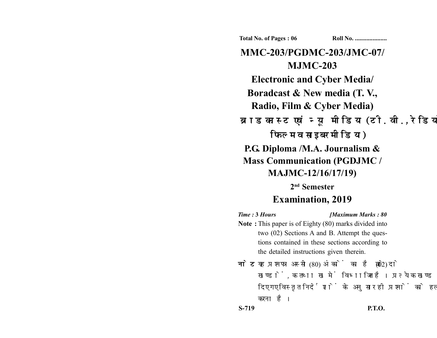**Total No. of Pages : 06 Roll No. ...................** 

**MMC-203/PGDMC-203/JMC-07/ MJMC-203 Electronic and Cyber Media/ Boradcast & New media (T. V., Radio, Film & Cyber Media)** ब्राडकास्ट एवं न्यू मीडिया (टी. वी., रेडियो, फिल्म व साइबर मीडिया) **P.G. Diploma /M.A. Journalism & Mass Communication (PGDJMC / MAJMC-12/16/17/19) 2nd Semester**

## **Examination, 2019**

- *Time :* **3** *Hours [Maximum Marks : 80* **Note :** This paper is of Eighty (80) marks divided into two (02) Sections A and B. Attempt the questions contained in these sections according to the detailed instructions given therein.
- नोट: यह प्रश्नपत्र अस्सी (80) अंकों का है जो दो (02) खण्डों. क तथा ख में विभाजित है। प्रत्येक खण्ड में दिए गए विस्तृत निर्देशों के अनुसार ही प्रश्नों को हल करना है।

**S-719 P.T.O.**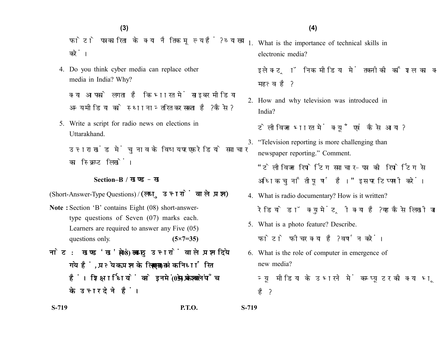फोटो पत्रकारिता के क्या नैतिक मूल्य हैं? व्याख्या करें।

4. Do you think cyber media can replace other media in India? Why?

क्या आपको लगता है कि भारत में साइबर मीडिया अन्य मीडिया को स्थानान्तरित कर सकता है? कैसे?

5. Write a script for radio news on elections in Uttarakhand.

उत्तराखंड में चुनाव के विषय पर एक रेडियो समाचार का स्क्रिप्ट लिखें।

## **Section–B /**

(Short-Answer-Type Questions) / (लघु उत्तरों वाले प्रश्न)

- **Note :** Section 'B' contains Eight (08) short-answertype questions of Seven (07) marks each. Learners are required to answer any Five (05) questions only. **(5×7=35)**
- नोट: खण्ड'ख' में आठ (08) लघु उत्तरों वाले प्रश्न दिये गये हैं, प्रत्येक प्रश्न के लिए सात (07) अंक निर्धारित हैं। शिक्षार्थियों को इनमें से केवल पाँच (05) प्रश्नों के उत्तर देने हैं।

1. What is the importance of technical skills in electronic media?

इलेक्ट्रॉनिक मीडिया में तकनीकी कौशल का क्या महत्व है?

2. How and why television was introduced in India?

टेलीविजन भारत में क्यूँ एवं कैसे आया?

- 3. "Television reporting is more challenging than newspaper reporting." Comment. "टेलीविजन रिपोर्टिंग समाचार-पत्र की रिपोर्टिंग से अधिक चुनौतीपूर्ण है।" इस पर टिप्पणी करें।
- 4. What is radio documentary? How is it written? रेडियो डॉक्यमेंटी क्या है? यह कैसे लिखी जाती है?
- 5. What is a photo feature? Describe. फोटो फीचर क्या है? वर्णन करें।
- 6. What is the role of computer in emergence of new media?

न्यू मीडिया के उभरने में कम्प्यूटर की क्या भूमिका है ?

**S-719 P.T.O. S-719**